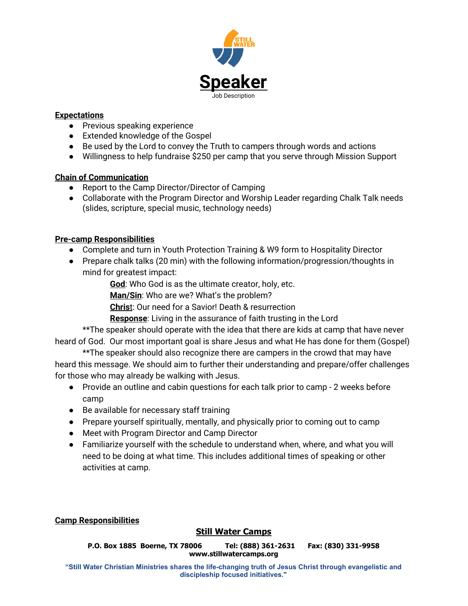

### **Expectations**

- Previous speaking experience
- Extended knowledge of the Gospel
- Be used by the Lord to convey the Truth to campers through words and actions
- Willingness to help fundraise \$250 per camp that you serve through Mission Support

### **Chain of Communication**

- **●** Report to the Camp Director/Director of Camping
- **●** Collaborate with the Program Director and Worship Leader regarding Chalk Talk needs (slides, scripture, special music, technology needs)

## **Pre-camp Responsibilities**

- Complete and turn in Youth Protection Training & W9 form to Hospitality Director
- Prepare chalk talks (20 min) with the following information/progression/thoughts in mind for greatest impact:

**God**: Who God is as the ultimate creator, holy, etc.

**Man/Sin**: Who are we? What's the problem?

**Chris**t: Our need for a Savior! Death & resurrection

**Response**: Living in the assurance of faith trusting in the Lord

\*\*The speaker should operate with the idea that there are kids at camp that have never heard of God. Our most important goal is share Jesus and what He has done for them (Gospel)

\*\*The speaker should also recognize there are campers in the crowd that may have heard this message. We should aim to further their understanding and prepare/offer challenges for those who may already be walking with Jesus.

- Provide an outline and cabin questions for each talk prior to camp 2 weeks before camp
- Be available for necessary staff training
- Prepare yourself spiritually, mentally, and physically prior to coming out to camp
- Meet with Program Director and Camp Director
- Familiarize yourself with the schedule to understand when, where, and what you will need to be doing at what time. This includes additional times of speaking or other activities at camp.

## **Camp Responsibilities**

# **Still Water Camps**

**P.O. Box 1885 Boerne, TX 78006 Tel: (888) 361-2631 Fax: (830) 331-9958 www.stillwatercamps.org**

**"Still Water Christian Ministries shares the life-changing truth of Jesus Christ through evangelistic and discipleship focused initiatives."**